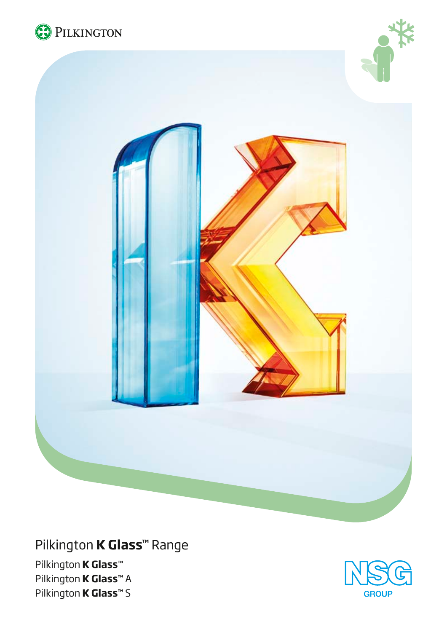





# Pilkington **K Glass™** Range

Pilkington **K Glass™** Pilkington **K Glass™** A Pilkington **K Glass™** S

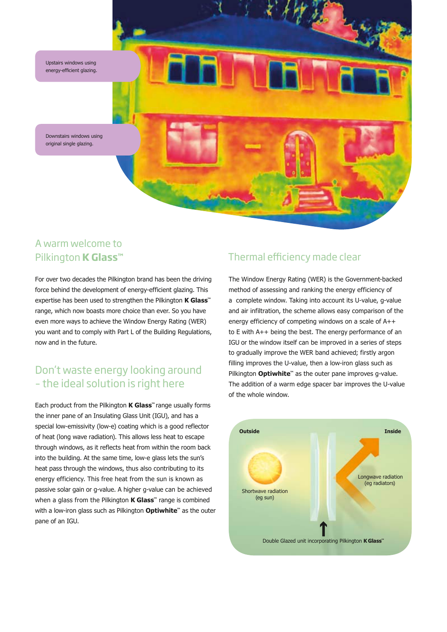Upstairs windows using energy-efficient glazing. Downstairs windows using original single glazing.

### A warm welcome to Pilkington **K Glass™**

For over two decades the Pilkington brand has been the driving force behind the development of energy-efficient glazing. This expertise has been used to strengthen the Pilkington **K Glass™** range, which now boasts more choice than ever. So you have even more ways to achieve the Window Energy Rating (WER) you want and to comply with Part L of the Building Regulations, now and in the future.

### Don't waste energy looking around – the ideal solution is right here

Each product from the Pilkington **K Glass™** range usually forms the inner pane of an Insulating Glass Unit (IGU), and has a special low-emissivity (low-e) coating which is a good reflector of heat (long wave radiation). This allows less heat to escape through windows, as it reflects heat from within the room back into the building. At the same time, low-e glass lets the sun's heat pass through the windows, thus also contributing to its energy efficiency. This free heat from the sun is known as passive solar gain or g-value. A higher g-value can be achieved when a glass from the Pilkington **K Glass™** range is combined with a low-iron glass such as Pilkington **Optiwhite™** as the outer pane of an IGU.

### Thermal efficiency made clear

The Window Energy Rating (WER) is the Government-backed method of assessing and ranking the energy efficiency of a complete window. Taking into account its U-value, g-value and air infiltration, the scheme allows easy comparison of the energy efficiency of competing windows on a scale of A++ to E with A++ being the best. The energy performance of an IGU or the window itself can be improved in a series of steps to gradually improve the WER band achieved; firstly argon filling improves the U-value, then a low-iron glass such as Pilkington **Optiwhite™** as the outer pane improves g-value. The addition of a warm edge spacer bar improves the U-value of the whole window.

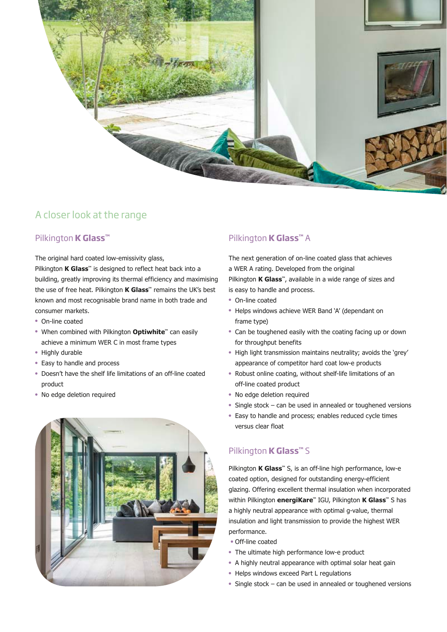

### A closer look at the range

#### Pilkington **K Glass™**

The original hard coated low-emissivity glass,

Pilkington **K Glass™** is designed to reflect heat back into a building, greatly improving its thermal efficiency and maximising the use of free heat. Pilkington **K Glass™** remains the UK's best known and most recognisable brand name in both trade and consumer markets.

- On-line coated
- When combined with Pilkington Optiwhite™ can easily achieve a minimum WER C in most frame types
- Highly durable
- Easy to handle and process
- Doesn't have the shelf life limitations of an off-line coated product
- No edge deletion required



#### Pilkington **K Glass™** A

The next generation of on-line coated glass that achieves a WER A rating. Developed from the original Pilkington **K Glass™**, available in a wide range of sizes and is easy to handle and process.

- On-line coated
- Helps windows achieve WER Band 'A' (dependant on frame type)
- Can be toughened easily with the coating facing up or down for throughput benefits
- High light transmission maintains neutrality; avoids the 'grey' appearance of competitor hard coat low-e products
- Robust online coating, without shelf-life limitations of an off-line coated product
- No edge deletion required
- $\bullet$  Single stock can be used in annealed or toughened versions
- Easy to handle and process; enables reduced cycle times versus clear float

#### Pilkington **K Glass™** S

Pilkington **K Glass**<sup>™</sup> S, is an off-line high performance, low-e coated option, designed for outstanding energy-efficient glazing. Offering excellent thermal insulation when incorporated within Pilkington **energiKare™** IGU, Pilkington **K Glass™** S has a highly neutral appearance with optimal g-value, thermal insulation and light transmission to provide the highest WER performance.

- Off-line coated
- The ultimate high performance low-e product
- A highly neutral appearance with optimal solar heat gain
- Helps windows exceed Part L regulations
- $\bullet$  Single stock can be used in annealed or toughened versions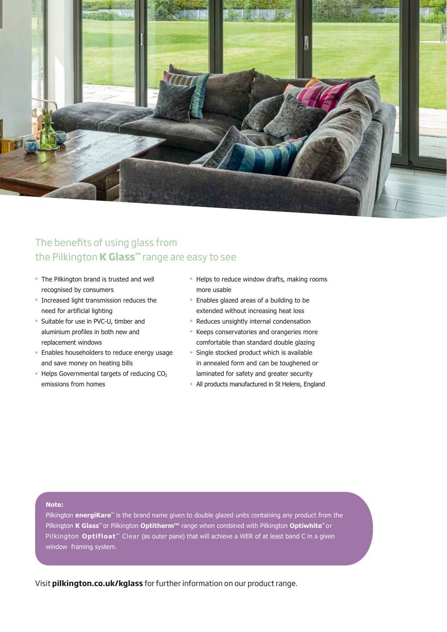

### The benefits of using glass from the Pilkington **K Glass™** range are easy to see

- The Pilkington brand is trusted and well recognised by consumers
- Increased light transmission reduces the need for artificial lighting
- Suitable for use in PVC-U, timber and aluminium profiles in both new and replacement windows
- Enables householders to reduce energy usage and save money on heating bills
- $\bullet$  Helps Governmental targets of reducing CO<sub>2</sub> emissions from homes
- Helps to reduce window drafts, making rooms more usable
- Enables glazed areas of a building to be extended without increasing heat loss
- Reduces unsightly internal condensation
- Keeps conservatories and orangeries more comfortable than standard double glazing
- Single stocked product which is available in annealed form and can be toughened or laminated for safety and greater security
- All products manufactured in St Helens, England

#### **Note:**

Pilkington **energiKare™** is the brand name given to double glazed units containing any product from the Pilkington **K Glass™** or Pilkington **Optitherm™** range when combined with Pilkington **Optiwhite™** or Pilkington Optifloat<sup>"</sup> Clear (as outer pane) that will achieve a WER of at least band C in a given window framing system.

Visit **pilkington.co.uk/kglass** for further information on our product range.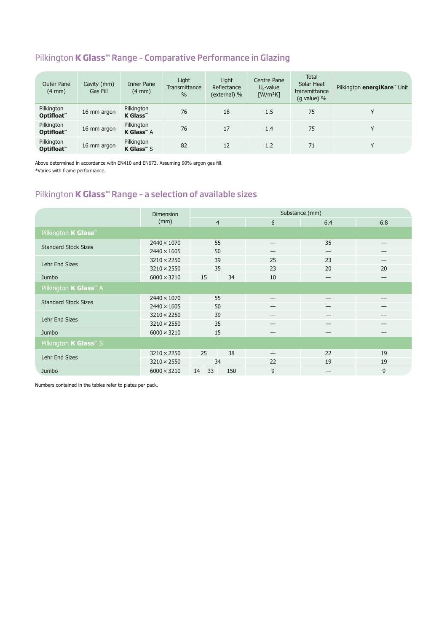## Pilkington **K Glass™** Range – Comparative Performance in Glazing

| <b>Outer Pane</b><br>$(4 \text{ mm})$ | Cavity (mm)<br>Gas Fill | Inner Pane<br>$(4 \text{ mm})$  | Light<br>Transmittance<br>$\frac{0}{0}$ | Light<br>Reflectance<br>(external) % | Centre Pane<br>$U_{0}$ -value<br>$\lceil W/m^2K \rceil$ | <b>Total</b><br>Solar Heat<br>transmittance<br>$(g$ value) % | Pilkington energiKare™ Unit |
|---------------------------------------|-------------------------|---------------------------------|-----------------------------------------|--------------------------------------|---------------------------------------------------------|--------------------------------------------------------------|-----------------------------|
| Pilkington<br>Optifloat™              | 16 mm argon             | Pilkington<br><b>K</b> Glass™   | 76                                      | 18                                   | 1.5                                                     | 75                                                           | v                           |
| Pilkington<br>Optifloat™              | 16 mm argon             | Pilkington<br><b>K</b> Glass™ A | 76                                      | 17                                   | 1.4                                                     | 75                                                           | v                           |
| Pilkington<br>Optifloat <sup>"</sup>  | 16 mm argon             | Pilkington<br><b>K</b> Glass™ S | 82                                      | 12                                   | 1.2                                                     | 71                                                           | v                           |

Above determined in accordance with EN410 and EN673. Assuming 90% argon gas fill.

\*Varies with frame performance.

#### Pilkington **K Glass™** Range – a selection of available sizes

|                                          | Dimension          | Substance (mm) |    |     |                          |     |     |  |  |  |  |
|------------------------------------------|--------------------|----------------|----|-----|--------------------------|-----|-----|--|--|--|--|
|                                          | (mm)               | $\overline{4}$ |    |     | 6                        | 6.4 | 6.8 |  |  |  |  |
| Pilkington <b>K Glass</b> <sup>™</sup>   |                    |                |    |     |                          |     |     |  |  |  |  |
| <b>Standard Stock Sizes</b>              | $2440 \times 1070$ | 55             |    |     |                          | 35  |     |  |  |  |  |
|                                          | $2440 \times 1605$ | 50             |    |     |                          |     |     |  |  |  |  |
| Lehr End Sizes                           | $3210 \times 2250$ | 39             |    |     | 25                       | 23  |     |  |  |  |  |
|                                          | $3210 \times 2550$ | 35             |    |     | 23                       | 20  | 20  |  |  |  |  |
| Jumbo                                    | $6000 \times 3210$ | 15             |    | 34  | 10                       |     |     |  |  |  |  |
| Pilkington <b>K Glass</b> <sup>™</sup> A |                    |                |    |     |                          |     |     |  |  |  |  |
| <b>Standard Stock Sizes</b>              | $2440 \times 1070$ | 55             |    |     | —                        | —   |     |  |  |  |  |
|                                          | $2440 \times 1605$ | 50             |    |     |                          | –   |     |  |  |  |  |
| Lehr End Sizes                           | $3210 \times 2250$ | 39             |    |     | $\overline{\phantom{0}}$ | —   |     |  |  |  |  |
|                                          | $3210 \times 2550$ | 35             |    |     |                          |     |     |  |  |  |  |
| Jumbo                                    | $6000 \times 3210$ | 15             |    |     |                          |     |     |  |  |  |  |
| Pilkington <b>K Glass</b> <sup>™</sup> S |                    |                |    |     |                          |     |     |  |  |  |  |
| Lehr End Sizes                           | $3210 \times 2250$ | 25             |    | 38  |                          | 22  | 19  |  |  |  |  |
|                                          | $3210 \times 2550$ | 34             |    |     | 22                       | 19  | 19  |  |  |  |  |
| Jumbo                                    | $6000 \times 3210$ | 14             | 33 | 150 | 9                        |     | 9   |  |  |  |  |

Numbers contained in the tables refer to plates per pack.